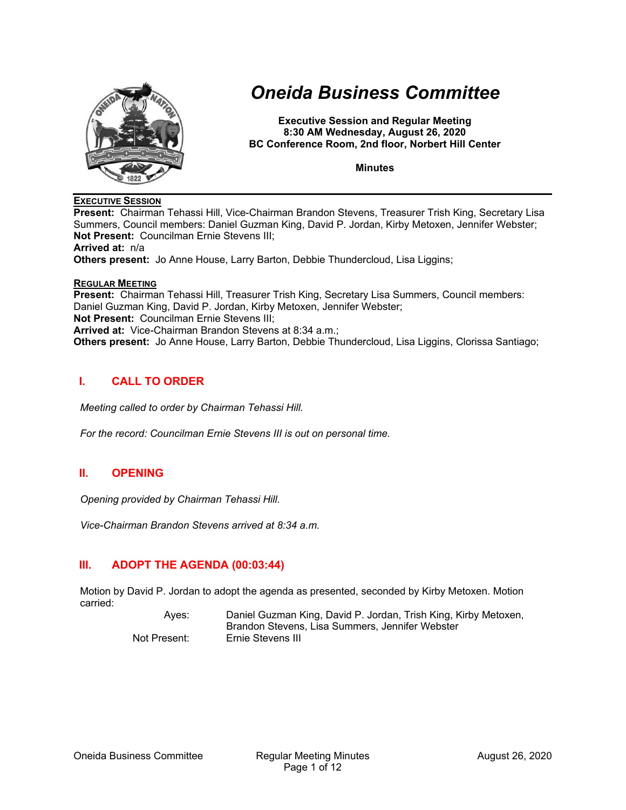

# *Oneida Business Committee*

**Executive Session and Regular Meeting 8:30 AM Wednesday, August 26, 2020 BC Conference Room, 2nd floor, Norbert Hill Center** 

**Minutes** 

#### **EXECUTIVE SESSION**

**Present:** Chairman Tehassi Hill, Vice-Chairman Brandon Stevens, Treasurer Trish King, Secretary Lisa Summers, Council members: Daniel Guzman King, David P. Jordan, Kirby Metoxen, Jennifer Webster; **Not Present:** Councilman Ernie Stevens III; **Arrived at:** n/a **Others present:** Jo Anne House, Larry Barton, Debbie Thundercloud, Lisa Liggins; **REGULAR MEETING**

**Present:** Chairman Tehassi Hill, Treasurer Trish King, Secretary Lisa Summers, Council members: Daniel Guzman King, David P. Jordan, Kirby Metoxen, Jennifer Webster; **Not Present:** Councilman Ernie Stevens III; **Arrived at:** Vice-Chairman Brandon Stevens at 8:34 a.m.; **Others present:** Jo Anne House, Larry Barton, Debbie Thundercloud, Lisa Liggins, Clorissa Santiago;

# **I. CALL TO ORDER**

*Meeting called to order by Chairman Tehassi Hill.* 

*For the record: Councilman Ernie Stevens III is out on personal time.* 

# **II. OPENING**

*Opening provided by Chairman Tehassi Hill.* 

*Vice-Chairman Brandon Stevens arrived at 8:34 a.m.* 

# **III. ADOPT THE AGENDA (00:03:44)**

Motion by David P. Jordan to adopt the agenda as presented, seconded by Kirby Metoxen. Motion carried:

> Ayes: Daniel Guzman King, David P. Jordan, Trish King, Kirby Metoxen, Brandon Stevens, Lisa Summers, Jennifer Webster Not Present: Ernie Stevens III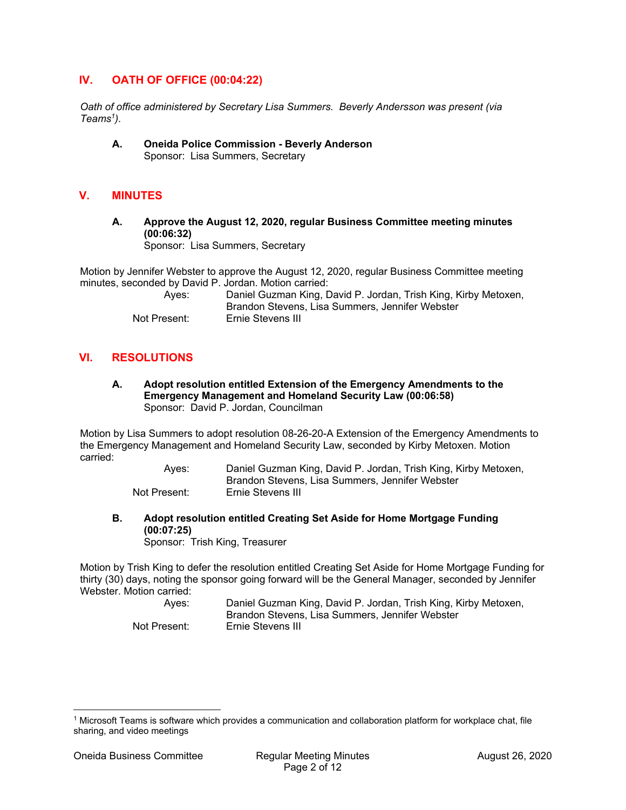# **IV. OATH OF OFFICE (00:04:22)**

*Oath of office administered by Secretary Lisa Summers. Beverly Andersson was present (via Teams1).* 

**A. Oneida Police Commission - Beverly Anderson**  Sponsor: Lisa Summers, Secretary

# **V. MINUTES**

**A. Approve the August 12, 2020, regular Business Committee meeting minutes (00:06:32)** 

Sponsor: Lisa Summers, Secretary

Motion by Jennifer Webster to approve the August 12, 2020, regular Business Committee meeting minutes, seconded by David P. Jordan. Motion carried:

| Ayes:        | Daniel Guzman King, David P. Jordan, Trish King, Kirby Metoxen, |
|--------------|-----------------------------------------------------------------|
|              | Brandon Stevens, Lisa Summers, Jennifer Webster                 |
| Not Present: | Ernie Stevens III                                               |

# **VI. RESOLUTIONS**

**A. Adopt resolution entitled Extension of the Emergency Amendments to the Emergency Management and Homeland Security Law (00:06:58)**  Sponsor: David P. Jordan, Councilman

Motion by Lisa Summers to adopt resolution 08-26-20-A Extension of the Emergency Amendments to the Emergency Management and Homeland Security Law, seconded by Kirby Metoxen. Motion carried:

> Ayes: Daniel Guzman King, David P. Jordan, Trish King, Kirby Metoxen, Brandon Stevens, Lisa Summers, Jennifer Webster Not Present: Ernie Stevens III

**B. Adopt resolution entitled Creating Set Aside for Home Mortgage Funding (00:07:25)** 

Sponsor: Trish King, Treasurer

Motion by Trish King to defer the resolution entitled Creating Set Aside for Home Mortgage Funding for thirty (30) days, noting the sponsor going forward will be the General Manager, seconded by Jennifer Webster. Motion carried:

 Ayes: Daniel Guzman King, David P. Jordan, Trish King, Kirby Metoxen, Brandon Stevens, Lisa Summers, Jennifer Webster Not Present: Ernie Stevens III

<sup>1</sup> Microsoft Teams is software which provides a communication and collaboration platform for workplace chat, file sharing, and video meetings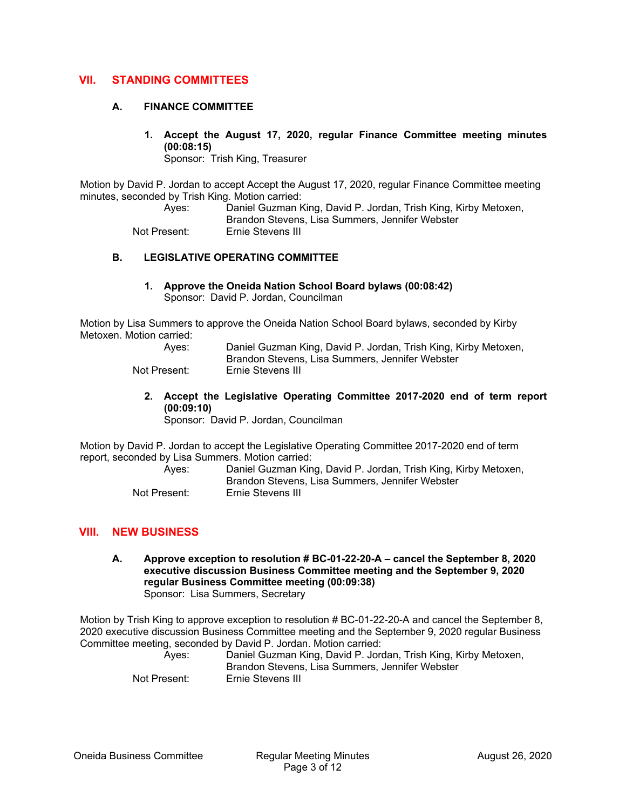# **VII. STANDING COMMITTEES**

#### **A. FINANCE COMMITTEE**

**1. Accept the August 17, 2020, regular Finance Committee meeting minutes (00:08:15)** 

Sponsor: Trish King, Treasurer

Motion by David P. Jordan to accept Accept the August 17, 2020, regular Finance Committee meeting minutes, seconded by Trish King. Motion carried:

Ayes: Daniel Guzman King, David P. Jordan, Trish King, Kirby Metoxen,

Brandon Stevens, Lisa Summers, Jennifer Webster

Not Present: Ernie Stevens III

# **B. LEGISLATIVE OPERATING COMMITTEE**

**1. Approve the Oneida Nation School Board bylaws (00:08:42)**  Sponsor: David P. Jordan, Councilman

Motion by Lisa Summers to approve the Oneida Nation School Board bylaws, seconded by Kirby Metoxen. Motion carried:

| Ayes:        | Daniel Guzman King, David P. Jordan, Trish King, Kirby Metoxen, |
|--------------|-----------------------------------------------------------------|
|              | Brandon Stevens, Lisa Summers, Jennifer Webster                 |
| Not Present: | Ernie Stevens III                                               |

- - **2. Accept the Legislative Operating Committee 2017-2020 end of term report (00:09:10)**

Sponsor: David P. Jordan, Councilman

Motion by David P. Jordan to accept the Legislative Operating Committee 2017-2020 end of term report, seconded by Lisa Summers. Motion carried:

| Aves:        | Daniel Guzman King, David P. Jordan, Trish King, Kirby Metoxen,<br>Brandon Stevens, Lisa Summers, Jennifer Webster |
|--------------|--------------------------------------------------------------------------------------------------------------------|
| Not Present: | Ernie Stevens III                                                                                                  |

# **VIII. NEW BUSINESS**

**A. Approve exception to resolution # BC-01-22-20-A – cancel the September 8, 2020 executive discussion Business Committee meeting and the September 9, 2020 regular Business Committee meeting (00:09:38)**  Sponsor: Lisa Summers, Secretary

Motion by Trish King to approve exception to resolution # BC-01-22-20-A and cancel the September 8, 2020 executive discussion Business Committee meeting and the September 9, 2020 regular Business Committee meeting, seconded by David P. Jordan. Motion carried:

| Aves:        | Daniel Guzman King, David P. Jordan, Trish King, Kirby Metoxen,<br>Brandon Stevens, Lisa Summers, Jennifer Webster |
|--------------|--------------------------------------------------------------------------------------------------------------------|
| Not Present: | Ernie Stevens III                                                                                                  |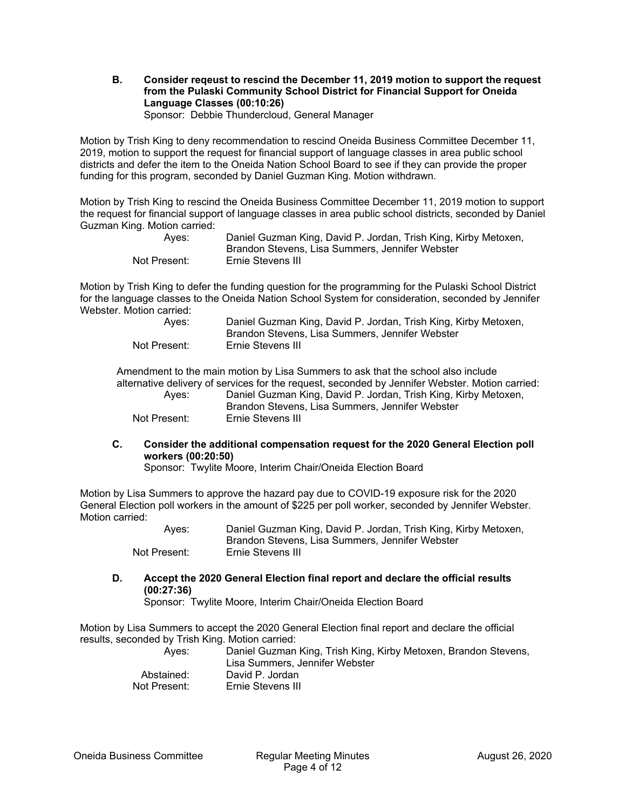# **B. Consider reqeust to rescind the December 11, 2019 motion to support the request from the Pulaski Community School District for Financial Support for Oneida Language Classes (00:10:26)**

Sponsor: Debbie Thundercloud, General Manager

Motion by Trish King to deny recommendation to rescind Oneida Business Committee December 11, 2019, motion to support the request for financial support of language classes in area public school districts and defer the item to the Oneida Nation School Board to see if they can provide the proper funding for this program, seconded by Daniel Guzman King. Motion withdrawn.

Motion by Trish King to rescind the Oneida Business Committee December 11, 2019 motion to support the request for financial support of language classes in area public school districts, seconded by Daniel Guzman King. Motion carried:

| Aves:        | Daniel Guzman King, David P. Jordan, Trish King, Kirby Metoxen,<br>Brandon Stevens, Lisa Summers, Jennifer Webster |
|--------------|--------------------------------------------------------------------------------------------------------------------|
| Not Present: | Ernie Stevens III                                                                                                  |

Motion by Trish King to defer the funding question for the programming for the Pulaski School District for the language classes to the Oneida Nation School System for consideration, seconded by Jennifer Webster. Motion carried:

| Aves:        | Daniel Guzman King, David P. Jordan, Trish King, Kirby Metoxen,<br>Brandon Stevens, Lisa Summers, Jennifer Webster |
|--------------|--------------------------------------------------------------------------------------------------------------------|
| Not Present: | Ernie Stevens III                                                                                                  |

Amendment to the main motion by Lisa Summers to ask that the school also include alternative delivery of services for the request, seconded by Jennifer Webster. Motion carried: Ayes: Daniel Guzman King, David P. Jordan, Trish King, Kirby Metoxen, Brandon Stevens, Lisa Summers, Jennifer Webster Not Present: Ernie Stevens III

**C. Consider the additional compensation request for the 2020 General Election poll workers (00:20:50)** 

Sponsor: Twylite Moore, Interim Chair/Oneida Election Board

Motion by Lisa Summers to approve the hazard pay due to COVID-19 exposure risk for the 2020 General Election poll workers in the amount of \$225 per poll worker, seconded by Jennifer Webster. Motion carried:

 Ayes: Daniel Guzman King, David P. Jordan, Trish King, Kirby Metoxen, Brandon Stevens, Lisa Summers, Jennifer Webster Not Present: Ernie Stevens III

**D. Accept the 2020 General Election final report and declare the official results (00:27:36)** 

Sponsor: Twylite Moore, Interim Chair/Oneida Election Board

Motion by Lisa Summers to accept the 2020 General Election final report and declare the official results, seconded by Trish King. Motion carried:

| Daniel Guzman King, Trish King, Kirby Metoxen, Brandon Stevens, |
|-----------------------------------------------------------------|
| Lisa Summers, Jennifer Webster                                  |
| David P. Jordan                                                 |
| Ernie Stevens III                                               |
|                                                                 |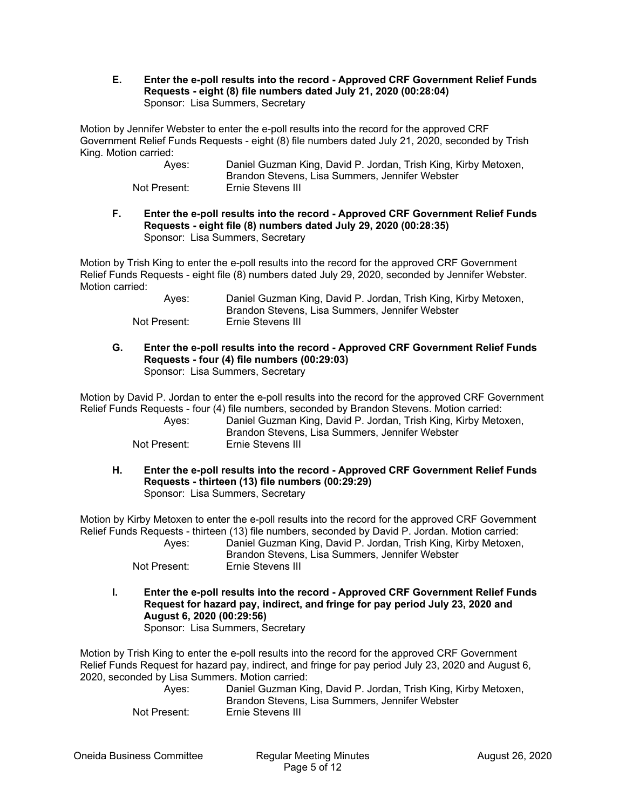#### **E. Enter the e-poll results into the record - Approved CRF Government Relief Funds Requests - eight (8) file numbers dated July 21, 2020 (00:28:04)**  Sponsor: Lisa Summers, Secretary

Motion by Jennifer Webster to enter the e-poll results into the record for the approved CRF Government Relief Funds Requests - eight (8) file numbers dated July 21, 2020, seconded by Trish King. Motion carried:

| Aves:        | Daniel Guzman King, David P. Jordan, Trish King, Kirby Metoxen,<br>Brandon Stevens, Lisa Summers, Jennifer Webster |
|--------------|--------------------------------------------------------------------------------------------------------------------|
| Not Present: | Ernie Stevens III                                                                                                  |

#### **F. Enter the e-poll results into the record - Approved CRF Government Relief Funds Requests - eight file (8) numbers dated July 29, 2020 (00:28:35)**  Sponsor: Lisa Summers, Secretary

Motion by Trish King to enter the e-poll results into the record for the approved CRF Government Relief Funds Requests - eight file (8) numbers dated July 29, 2020, seconded by Jennifer Webster. Motion carried:

| Aves:        | Daniel Guzman King, David P. Jordan, Trish King, Kirby Metoxen, |
|--------------|-----------------------------------------------------------------|
|              | Brandon Stevens, Lisa Summers, Jennifer Webster                 |
| Not Present: | Ernie Stevens III                                               |

#### **G. Enter the e-poll results into the record - Approved CRF Government Relief Funds Requests - four (4) file numbers (00:29:03)**  Sponsor: Lisa Summers, Secretary

Motion by David P. Jordan to enter the e-poll results into the record for the approved CRF Government Relief Funds Requests - four (4) file numbers, seconded by Brandon Stevens. Motion carried:

 Ayes: Daniel Guzman King, David P. Jordan, Trish King, Kirby Metoxen, Brandon Stevens, Lisa Summers, Jennifer Webster Not Present: Ernie Stevens III

**H. Enter the e-poll results into the record - Approved CRF Government Relief Funds Requests - thirteen (13) file numbers (00:29:29)**  Sponsor: Lisa Summers, Secretary

Motion by Kirby Metoxen to enter the e-poll results into the record for the approved CRF Government Relief Funds Requests - thirteen (13) file numbers, seconded by David P. Jordan. Motion carried:

| Ayes:        | Daniel Guzman King, David P. Jordan, Trish King, Kirby Metoxen, |
|--------------|-----------------------------------------------------------------|
|              | Brandon Stevens, Lisa Summers, Jennifer Webster                 |
| Not Present: | Ernie Stevens III                                               |

**I. Enter the e-poll results into the record - Approved CRF Government Relief Funds Request for hazard pay, indirect, and fringe for pay period July 23, 2020 and August 6, 2020 (00:29:56)**  Sponsor: Lisa Summers, Secretary

Motion by Trish King to enter the e-poll results into the record for the approved CRF Government Relief Funds Request for hazard pay, indirect, and fringe for pay period July 23, 2020 and August 6, 2020, seconded by Lisa Summers. Motion carried:

| Ayes:        | Daniel Guzman King, David P. Jordan, Trish King, Kirby Metoxen, |
|--------------|-----------------------------------------------------------------|
|              | Brandon Stevens, Lisa Summers, Jennifer Webster                 |
| Not Present: | Ernie Stevens III                                               |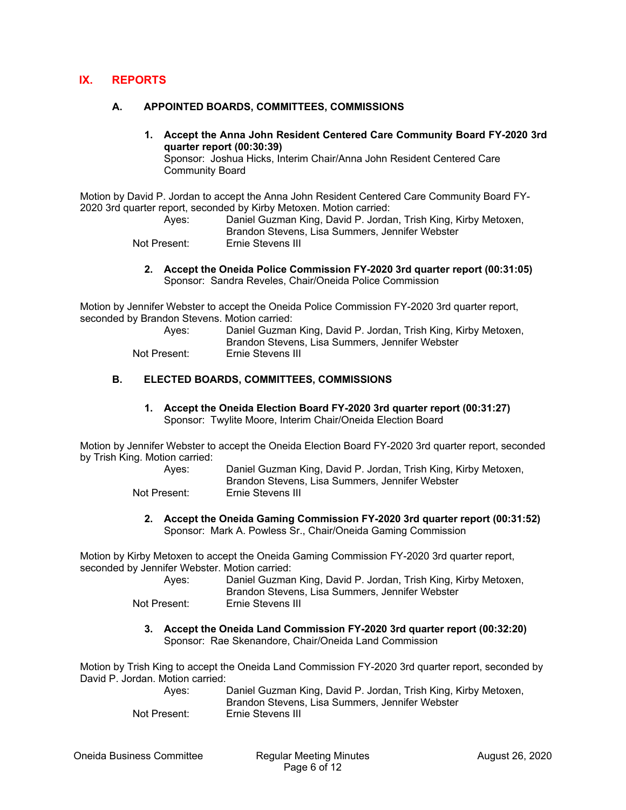# **IX. REPORTS**

#### **A. APPOINTED BOARDS, COMMITTEES, COMMISSIONS**

**1. Accept the Anna John Resident Centered Care Community Board FY-2020 3rd quarter report (00:30:39)** 

Sponsor: Joshua Hicks, Interim Chair/Anna John Resident Centered Care Community Board

Motion by David P. Jordan to accept the Anna John Resident Centered Care Community Board FY-2020 3rd quarter report, seconded by Kirby Metoxen. Motion carried:

| Ayes:        | Daniel Guzman King, David P. Jordan, Trish King, Kirby Metoxen, |
|--------------|-----------------------------------------------------------------|
|              | Brandon Stevens, Lisa Summers, Jennifer Webster                 |
| Not Present: | Ernie Stevens III                                               |

**2. Accept the Oneida Police Commission FY-2020 3rd quarter report (00:31:05)**  Sponsor: Sandra Reveles, Chair/Oneida Police Commission

Motion by Jennifer Webster to accept the Oneida Police Commission FY-2020 3rd quarter report, seconded by Brandon Stevens. Motion carried:

| Aves:        | Daniel Guzman King, David P. Jordan, Trish King, Kirby Metoxen,<br>Brandon Stevens, Lisa Summers, Jennifer Webster |
|--------------|--------------------------------------------------------------------------------------------------------------------|
| Not Present: | Ernie Stevens III                                                                                                  |

#### **B. ELECTED BOARDS, COMMITTEES, COMMISSIONS**

**1. Accept the Oneida Election Board FY-2020 3rd quarter report (00:31:27)**  Sponsor: Twylite Moore, Interim Chair/Oneida Election Board

Motion by Jennifer Webster to accept the Oneida Election Board FY-2020 3rd quarter report, seconded by Trish King. Motion carried:

| Ayes:        | Daniel Guzman King, David P. Jordan, Trish King, Kirby Metoxen, |
|--------------|-----------------------------------------------------------------|
|              | Brandon Stevens, Lisa Summers, Jennifer Webster                 |
| Not Present: | Ernie Stevens III                                               |

**2. Accept the Oneida Gaming Commission FY-2020 3rd quarter report (00:31:52)**  Sponsor: Mark A. Powless Sr., Chair/Oneida Gaming Commission

Motion by Kirby Metoxen to accept the Oneida Gaming Commission FY-2020 3rd quarter report, seconded by Jennifer Webster. Motion carried:

| Ayes:        | Daniel Guzman King, David P. Jordan, Trish King, Kirby Metoxen, |
|--------------|-----------------------------------------------------------------|
|              | Brandon Stevens, Lisa Summers, Jennifer Webster                 |
| Not Present: | Ernie Stevens III                                               |

**3. Accept the Oneida Land Commission FY-2020 3rd quarter report (00:32:20)**  Sponsor: Rae Skenandore, Chair/Oneida Land Commission

Motion by Trish King to accept the Oneida Land Commission FY-2020 3rd quarter report, seconded by David P. Jordan. Motion carried:

| Aves:        | Daniel Guzman King, David P. Jordan, Trish King, Kirby Metoxen, |
|--------------|-----------------------------------------------------------------|
|              | Brandon Stevens, Lisa Summers, Jennifer Webster                 |
| Not Present: | Ernie Stevens III                                               |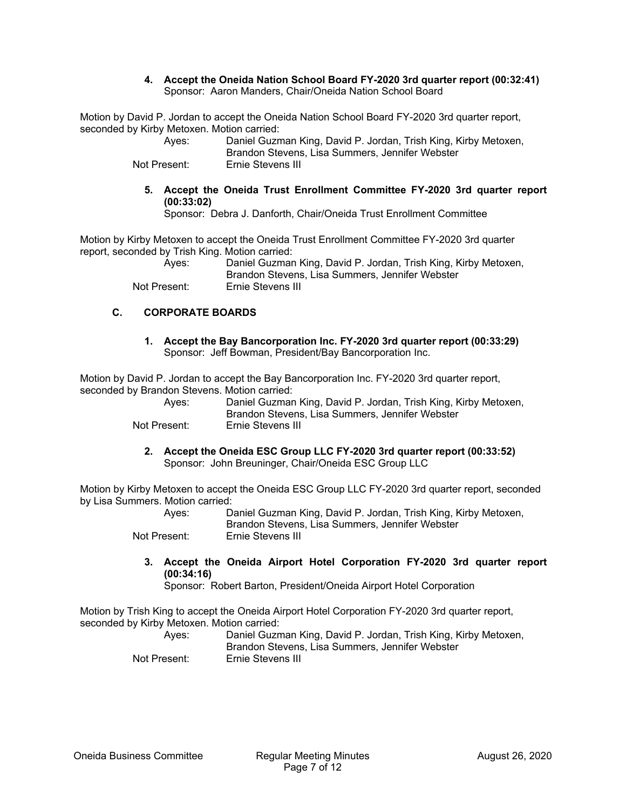#### **4. Accept the Oneida Nation School Board FY-2020 3rd quarter report (00:32:41)**  Sponsor: Aaron Manders, Chair/Oneida Nation School Board

Motion by David P. Jordan to accept the Oneida Nation School Board FY-2020 3rd quarter report, seconded by Kirby Metoxen. Motion carried:

| Aves:        | Daniel Guzman King, David P. Jordan, Trish King, Kirby Metoxen, |
|--------------|-----------------------------------------------------------------|
|              | Brandon Stevens, Lisa Summers, Jennifer Webster                 |
| Not Present: | <b>Ernie Stevens III</b>                                        |

Not Present: Ernie Stevens III

**5. Accept the Oneida Trust Enrollment Committee FY-2020 3rd quarter report (00:33:02)** 

Sponsor: Debra J. Danforth, Chair/Oneida Trust Enrollment Committee

Motion by Kirby Metoxen to accept the Oneida Trust Enrollment Committee FY-2020 3rd quarter report, seconded by Trish King. Motion carried:

 Ayes: Daniel Guzman King, David P. Jordan, Trish King, Kirby Metoxen, Brandon Stevens, Lisa Summers, Jennifer Webster Not Present: Ernie Stevens III

# **C. CORPORATE BOARDS**

**1. Accept the Bay Bancorporation Inc. FY-2020 3rd quarter report (00:33:29)**  Sponsor: Jeff Bowman, President/Bay Bancorporation Inc.

Motion by David P. Jordan to accept the Bay Bancorporation Inc. FY-2020 3rd quarter report, seconded by Brandon Stevens. Motion carried:

| Aves:        | Daniel Guzman King, David P. Jordan, Trish King, Kirby Metoxen,<br>Brandon Stevens, Lisa Summers, Jennifer Webster |
|--------------|--------------------------------------------------------------------------------------------------------------------|
| Not Present: | Ernie Stevens III                                                                                                  |

**2. Accept the Oneida ESC Group LLC FY-2020 3rd quarter report (00:33:52)**  Sponsor: John Breuninger, Chair/Oneida ESC Group LLC

Motion by Kirby Metoxen to accept the Oneida ESC Group LLC FY-2020 3rd quarter report, seconded by Lisa Summers. Motion carried:

| Aves:        | Daniel Guzman King, David P. Jordan, Trish King, Kirby Metoxen,<br>Brandon Stevens, Lisa Summers, Jennifer Webster |
|--------------|--------------------------------------------------------------------------------------------------------------------|
|              |                                                                                                                    |
| Not Present: | Ernie Stevens III                                                                                                  |

**3. Accept the Oneida Airport Hotel Corporation FY-2020 3rd quarter report (00:34:16)** 

Sponsor: Robert Barton, President/Oneida Airport Hotel Corporation

Motion by Trish King to accept the Oneida Airport Hotel Corporation FY-2020 3rd quarter report, seconded by Kirby Metoxen. Motion carried:

| Aves:        | Daniel Guzman King, David P. Jordan, Trish King, Kirby Metoxen, |
|--------------|-----------------------------------------------------------------|
|              | Brandon Stevens, Lisa Summers, Jennifer Webster                 |
| Not Present: | Ernie Stevens III                                               |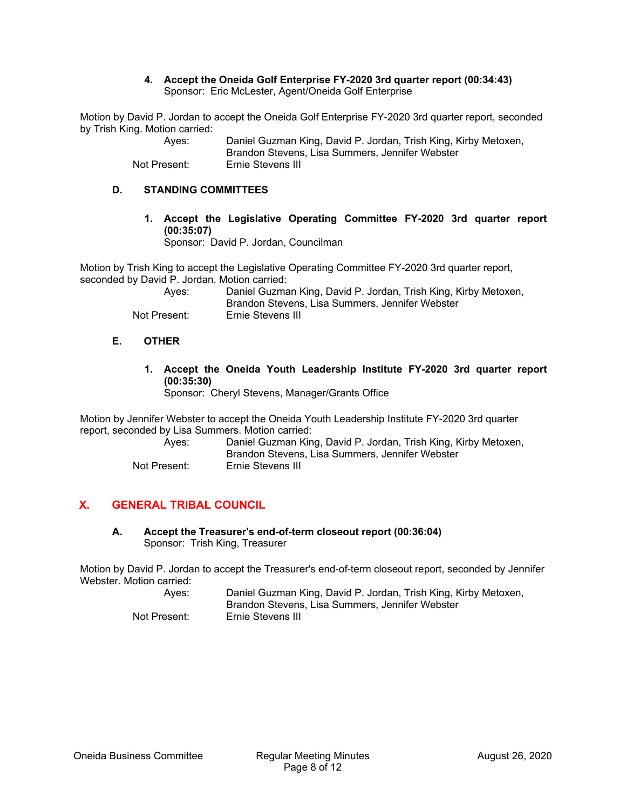#### **4. Accept the Oneida Golf Enterprise FY-2020 3rd quarter report (00:34:43)**  Sponsor: Eric McLester, Agent/Oneida Golf Enterprise

Motion by David P. Jordan to accept the Oneida Golf Enterprise FY-2020 3rd quarter report, seconded by Trish King. Motion carried:

| Aves:        | Daniel Guzman King, David P. Jordan, Trish King, Kirby Metoxen, |
|--------------|-----------------------------------------------------------------|
|              | Brandon Stevens, Lisa Summers, Jennifer Webster                 |
| Not Present: | Ernie Stevens III                                               |

#### **D. STANDING COMMITTEES**

**1. Accept the Legislative Operating Committee FY-2020 3rd quarter report (00:35:07)** 

Sponsor: David P. Jordan, Councilman

Motion by Trish King to accept the Legislative Operating Committee FY-2020 3rd quarter report, seconded by David P. Jordan. Motion carried:

| Ayes:        | Daniel Guzman King, David P. Jordan, Trish King, Kirby Metoxen,<br>Brandon Stevens, Lisa Summers, Jennifer Webster |
|--------------|--------------------------------------------------------------------------------------------------------------------|
| Not Present: | Ernie Stevens III                                                                                                  |

#### **E. OTHER**

**1. Accept the Oneida Youth Leadership Institute FY-2020 3rd quarter report (00:35:30)** 

Sponsor: Cheryl Stevens, Manager/Grants Office

Motion by Jennifer Webster to accept the Oneida Youth Leadership Institute FY-2020 3rd quarter report, seconded by Lisa Summers. Motion carried:

| Aves:        | Daniel Guzman King, David P. Jordan, Trish King, Kirby Metoxen,<br>Brandon Stevens, Lisa Summers, Jennifer Webster |
|--------------|--------------------------------------------------------------------------------------------------------------------|
| Not Present: | Ernie Stevens III                                                                                                  |

# **X. GENERAL TRIBAL COUNCIL**

**A. Accept the Treasurer's end-of-term closeout report (00:36:04)**  Sponsor: Trish King, Treasurer

Motion by David P. Jordan to accept the Treasurer's end-of-term closeout report, seconded by Jennifer Webster. Motion carried:

| Ayes:        | Daniel Guzman King, David P. Jordan, Trish King, Kirby Metoxen, |
|--------------|-----------------------------------------------------------------|
|              | Brandon Stevens, Lisa Summers, Jennifer Webster                 |
| Not Present: | Ernie Stevens III                                               |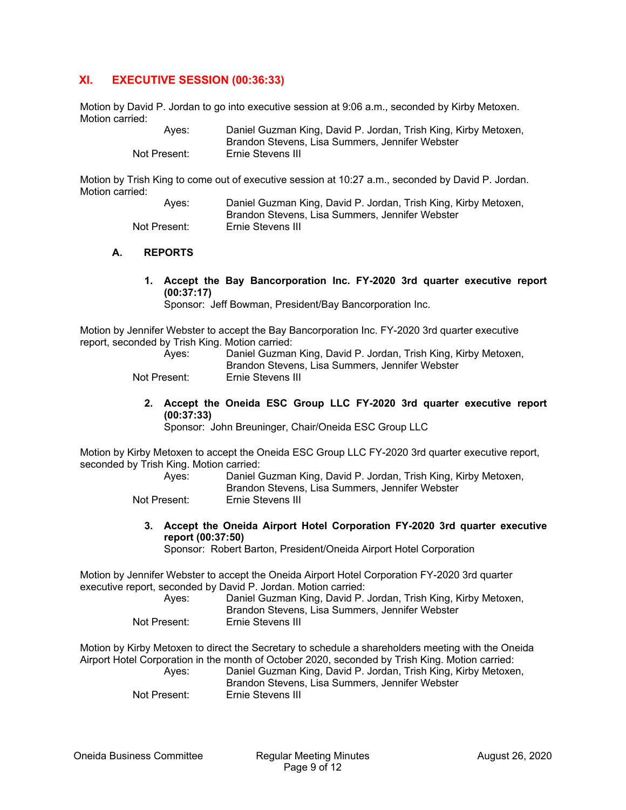# **XI. EXECUTIVE SESSION (00:36:33)**

Motion by David P. Jordan to go into executive session at 9:06 a.m., seconded by Kirby Metoxen. Motion carried:

| Aves:        | Daniel Guzman King, David P. Jordan, Trish King, Kirby Metoxen, |
|--------------|-----------------------------------------------------------------|
|              | Brandon Stevens, Lisa Summers, Jennifer Webster                 |
| Not Present: | Ernie Stevens III                                               |

Motion by Trish King to come out of executive session at 10:27 a.m., seconded by David P. Jordan. Motion carried:

> Ayes: Daniel Guzman King, David P. Jordan, Trish King, Kirby Metoxen, Brandon Stevens, Lisa Summers, Jennifer Webster Not Present: Ernie Stevens III

#### **A. REPORTS**

**1. Accept the Bay Bancorporation Inc. FY-2020 3rd quarter executive report (00:37:17)** 

Sponsor: Jeff Bowman, President/Bay Bancorporation Inc.

Motion by Jennifer Webster to accept the Bay Bancorporation Inc. FY-2020 3rd quarter executive report, seconded by Trish King. Motion carried:

| Aves:        | Daniel Guzman King, David P. Jordan, Trish King, Kirby Metoxen,<br>Brandon Stevens, Lisa Summers, Jennifer Webster |
|--------------|--------------------------------------------------------------------------------------------------------------------|
| Not Present: | Ernie Stevens III                                                                                                  |

**2. Accept the Oneida ESC Group LLC FY-2020 3rd quarter executive report (00:37:33)** 

Sponsor: John Breuninger, Chair/Oneida ESC Group LLC

Motion by Kirby Metoxen to accept the Oneida ESC Group LLC FY-2020 3rd quarter executive report, seconded by Trish King. Motion carried:

| Ayes: | Daniel Guzman King, David P. Jordan, Trish King, Kirby Metoxen, |
|-------|-----------------------------------------------------------------|
|       | Brandon Stevens, Lisa Summers, Jennifer Webster                 |

Not Present: Ernie Stevens III

**3. Accept the Oneida Airport Hotel Corporation FY-2020 3rd quarter executive report (00:37:50)** 

Sponsor: Robert Barton, President/Oneida Airport Hotel Corporation

Motion by Jennifer Webster to accept the Oneida Airport Hotel Corporation FY-2020 3rd quarter executive report, seconded by David P. Jordan. Motion carried:

| Aves:        | Daniel Guzman King, David P. Jordan, Trish King, Kirby Metoxen,<br>Brandon Stevens, Lisa Summers, Jennifer Webster |
|--------------|--------------------------------------------------------------------------------------------------------------------|
| Not Present: | Ernie Stevens III                                                                                                  |

Motion by Kirby Metoxen to direct the Secretary to schedule a shareholders meeting with the Oneida Airport Hotel Corporation in the month of October 2020, seconded by Trish King. Motion carried:

| Ayes:        | Daniel Guzman King, David P. Jordan, Trish King, Kirby Metoxen, |
|--------------|-----------------------------------------------------------------|
|              | Brandon Stevens, Lisa Summers, Jennifer Webster                 |
| Not Present: | Ernie Stevens III                                               |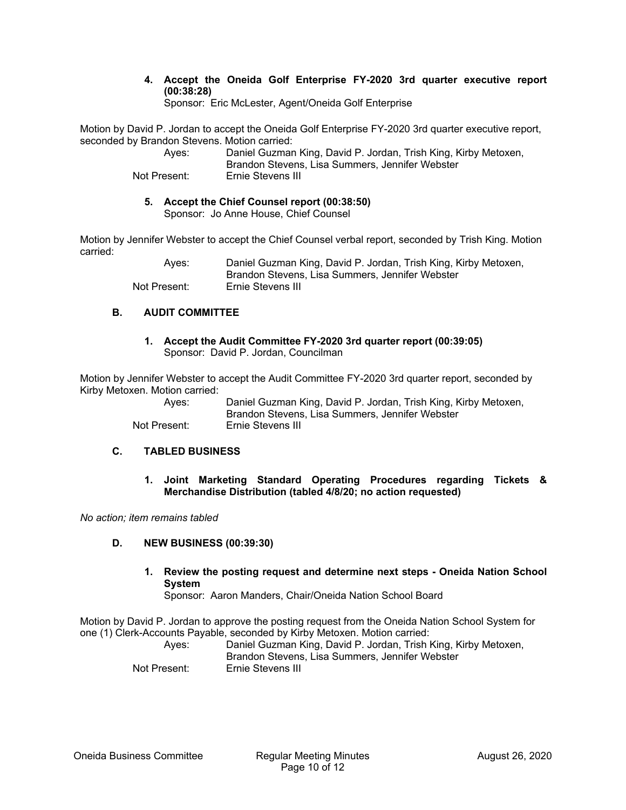**4. Accept the Oneida Golf Enterprise FY-2020 3rd quarter executive report (00:38:28)** 

Sponsor: Eric McLester, Agent/Oneida Golf Enterprise

Motion by David P. Jordan to accept the Oneida Golf Enterprise FY-2020 3rd quarter executive report, seconded by Brandon Stevens. Motion carried:

> Ayes: Daniel Guzman King, David P. Jordan, Trish King, Kirby Metoxen, Brandon Stevens, Lisa Summers, Jennifer Webster Not Present: Ernie Stevens III

#### **5. Accept the Chief Counsel report (00:38:50)**  Sponsor: Jo Anne House, Chief Counsel

Motion by Jennifer Webster to accept the Chief Counsel verbal report, seconded by Trish King. Motion carried:

> Ayes: Daniel Guzman King, David P. Jordan, Trish King, Kirby Metoxen, Brandon Stevens, Lisa Summers, Jennifer Webster Not Present: Ernie Stevens III

# **B. AUDIT COMMITTEE**

**1. Accept the Audit Committee FY-2020 3rd quarter report (00:39:05)**  Sponsor: David P. Jordan, Councilman

Motion by Jennifer Webster to accept the Audit Committee FY-2020 3rd quarter report, seconded by Kirby Metoxen. Motion carried:

 Ayes: Daniel Guzman King, David P. Jordan, Trish King, Kirby Metoxen, Brandon Stevens, Lisa Summers, Jennifer Webster Not Present: Ernie Stevens III

# **C. TABLED BUSINESS**

**1. Joint Marketing Standard Operating Procedures regarding Tickets & Merchandise Distribution (tabled 4/8/20; no action requested)**

*No action; item remains tabled* 

# **D. NEW BUSINESS (00:39:30)**

# **1. Review the posting request and determine next steps - Oneida Nation School System**

Sponsor: Aaron Manders, Chair/Oneida Nation School Board

Motion by David P. Jordan to approve the posting request from the Oneida Nation School System for one (1) Clerk-Accounts Payable, seconded by Kirby Metoxen. Motion carried:

| Aves:        | Daniel Guzman King, David P. Jordan, Trish King, Kirby Metoxen,<br>Brandon Stevens, Lisa Summers, Jennifer Webster |
|--------------|--------------------------------------------------------------------------------------------------------------------|
| Not Present: | Ernie Stevens III                                                                                                  |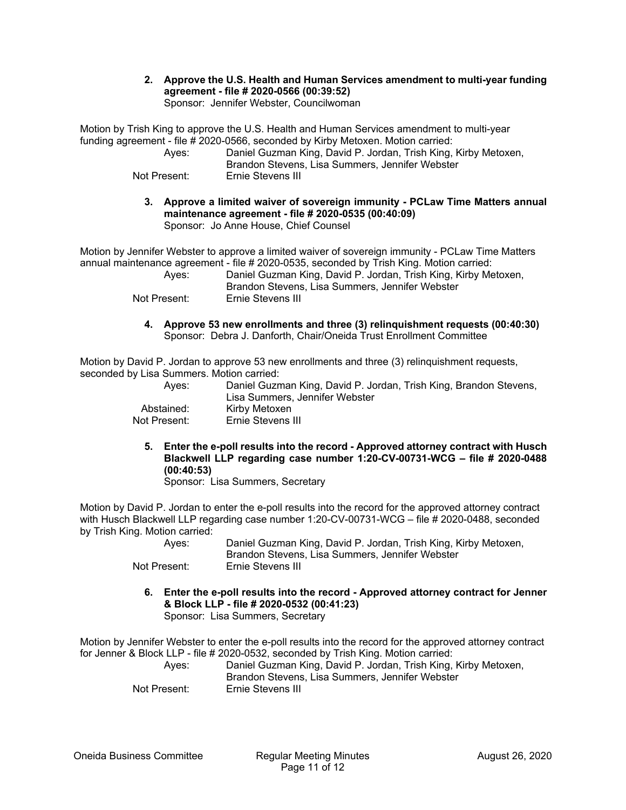**2. Approve the U.S. Health and Human Services amendment to multi-year funding agreement - file # 2020-0566 (00:39:52)**  Sponsor: Jennifer Webster, Councilwoman

Motion by Trish King to approve the U.S. Health and Human Services amendment to multi-year funding agreement - file # 2020-0566, seconded by Kirby Metoxen. Motion carried:

 Ayes: Daniel Guzman King, David P. Jordan, Trish King, Kirby Metoxen, Brandon Stevens, Lisa Summers, Jennifer Webster Not Present: Ernie Stevens III

**3. Approve a limited waiver of sovereign immunity - PCLaw Time Matters annual maintenance agreement - file # 2020-0535 (00:40:09)**  Sponsor: Jo Anne House, Chief Counsel

Motion by Jennifer Webster to approve a limited waiver of sovereign immunity - PCLaw Time Matters annual maintenance agreement - file # 2020-0535, seconded by Trish King. Motion carried:

| Aves:        | Daniel Guzman King, David P. Jordan, Trish King, Kirby Metoxen, |
|--------------|-----------------------------------------------------------------|
|              | Brandon Stevens, Lisa Summers, Jennifer Webster                 |
| Not Present: | Ernie Stevens III                                               |

- - **4. Approve 53 new enrollments and three (3) relinquishment requests (00:40:30)**  Sponsor: Debra J. Danforth, Chair/Oneida Trust Enrollment Committee

Motion by David P. Jordan to approve 53 new enrollments and three (3) relinguishment requests, seconded by Lisa Summers. Motion carried:

| Aves:        | Daniel Guzman King, David P. Jordan, Trish King, Brandon Stevens,<br>Lisa Summers, Jennifer Webster |
|--------------|-----------------------------------------------------------------------------------------------------|
| Abstained:   | Kirby Metoxen                                                                                       |
| Not Present: | Ernie Stevens III                                                                                   |

**5. Enter the e-poll results into the record - Approved attorney contract with Husch Blackwell LLP regarding case number 1:20-CV-00731-WCG – file # 2020-0488 (00:40:53)** 

Sponsor: Lisa Summers, Secretary

Motion by David P. Jordan to enter the e-poll results into the record for the approved attorney contract with Husch Blackwell LLP regarding case number 1:20-CV-00731-WCG – file # 2020-0488, seconded by Trish King. Motion carried:

| ______ | Aves:        | Daniel Guzman King, David P. Jordan, Trish King, Kirby Metoxen,<br>Brandon Stevens, Lisa Summers, Jennifer Webster |
|--------|--------------|--------------------------------------------------------------------------------------------------------------------|
|        | Not Present: | Ernie Stevens III                                                                                                  |

**6. Enter the e-poll results into the record - Approved attorney contract for Jenner & Block LLP - file # 2020-0532 (00:41:23)**  Sponsor: Lisa Summers, Secretary

Motion by Jennifer Webster to enter the e-poll results into the record for the approved attorney contract for Jenner & Block LLP - file # 2020-0532, seconded by Trish King. Motion carried:

 Ayes: Daniel Guzman King, David P. Jordan, Trish King, Kirby Metoxen, Brandon Stevens, Lisa Summers, Jennifer Webster Not Present: Ernie Stevens III